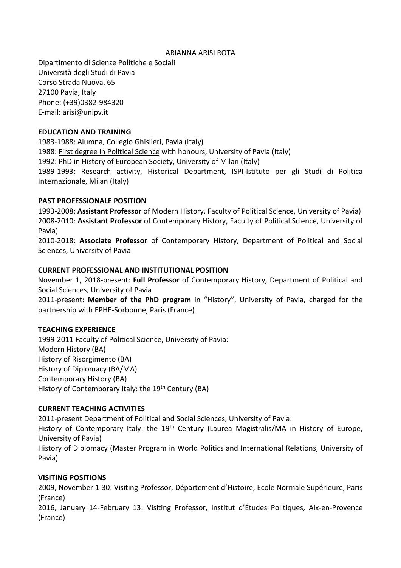#### ARIANNA ARISI ROTA

Dipartimento di Scienze Politiche e Sociali Università degli Studi di Pavia Corso Strada Nuova, 65 27100 Pavia, Italy Phone: (+39)0382-984320 E-mail: arisi@unipv.it

#### **EDUCATION AND TRAINING**

1983-1988: Alumna, Collegio Ghislieri, Pavia (Italy) 1988: First degree in Political Science with honours, University of Pavia (Italy) 1992: PhD in History of European Society, University of Milan (Italy) 1989-1993: Research activity, Historical Department, ISPI-Istituto per gli Studi di Politica Internazionale, Milan (Italy)

### **PAST PROFESSIONALE POSITION**

1993-2008: **Assistant Professor** of Modern History, Faculty of Political Science, University of Pavia) 2008-2010: **Assistant Professor** of Contemporary History, Faculty of Political Science, University of Pavia)

2010-2018: **Associate Professor** of Contemporary History, Department of Political and Social Sciences, University of Pavia

# **CURRENT PROFESSIONAL AND INSTITUTIONAL POSITION**

November 1, 2018-present: **Full Professor** of Contemporary History, Department of Political and Social Sciences, University of Pavia

2011-present: **Member of the PhD program** in "History", University of Pavia, charged for the partnership with EPHE-Sorbonne, Paris (France)

### **TEACHING EXPERIENCE**

1999-2011 Faculty of Political Science, University of Pavia: Modern History (BA) History of Risorgimento (BA) History of Diplomacy (BA/MA) Contemporary History (BA) History of Contemporary Italy: the 19<sup>th</sup> Century (BA)

### **CURRENT TEACHING ACTIVITIES**

2011-present Department of Political and Social Sciences, University of Pavia:

History of Contemporary Italy: the 19<sup>th</sup> Century (Laurea Magistralis/MA in History of Europe, University of Pavia)

History of Diplomacy (Master Program in World Politics and International Relations, University of Pavia)

### **VISITING POSITIONS**

2009, November 1-30: Visiting Professor, Département d'Histoire, Ecole Normale Supérieure, Paris (France)

2016, January 14-February 13: Visiting Professor, Institut d'Études Politiques, Aix-en-Provence (France)